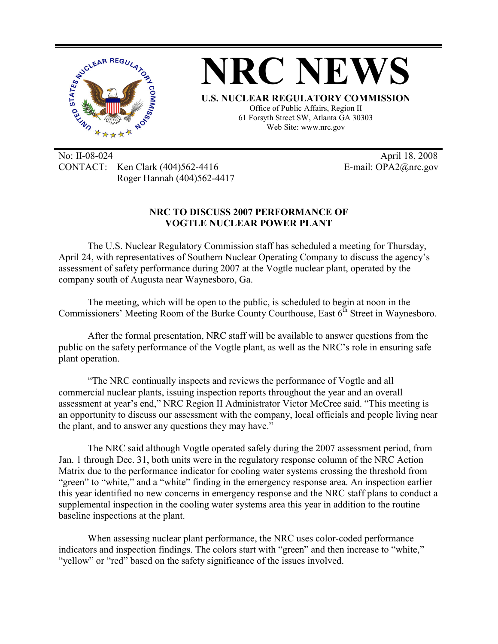

No: II-08-024 April 18, 2008 CONTACT: Ken Clark (404)562-4416 E-mail: OPA2@nrc.gov Roger Hannah (404)562-4417

## **NRC TO DISCUSS 2007 PERFORMANCE OF VOGTLE NUCLEAR POWER PLANT**

The U.S. Nuclear Regulatory Commission staff has scheduled a meeting for Thursday, April 24, with representatives of Southern Nuclear Operating Company to discuss the agency's assessment of safety performance during 2007 at the Vogtle nuclear plant, operated by the company south of Augusta near Waynesboro, Ga.

The meeting, which will be open to the public, is scheduled to begin at noon in the Commissioners' Meeting Room of the Burke County Courthouse, East  $6<sup>th</sup>$  Street in Waynesboro.

After the formal presentation, NRC staff will be available to answer questions from the public on the safety performance of the Vogtle plant, as well as the NRC's role in ensuring safe plant operation.

"The NRC continually inspects and reviews the performance of Vogtle and all commercial nuclear plants, issuing inspection reports throughout the year and an overall assessment at year's end," NRC Region II Administrator Victor McCree said. "This meeting is an opportunity to discuss our assessment with the company, local officials and people living near the plant, and to answer any questions they may have."

The NRC said although Vogtle operated safely during the 2007 assessment period, from Jan. 1 through Dec. 31, both units were in the regulatory response column of the NRC Action Matrix due to the performance indicator for cooling water systems crossing the threshold from "green" to "white," and a "white" finding in the emergency response area. An inspection earlier this year identified no new concerns in emergency response and the NRC staff plans to conduct a supplemental inspection in the cooling water systems area this year in addition to the routine baseline inspections at the plant.

When assessing nuclear plant performance, the NRC uses color-coded performance indicators and inspection findings. The colors start with "green" and then increase to "white," "yellow" or "red" based on the safety significance of the issues involved.